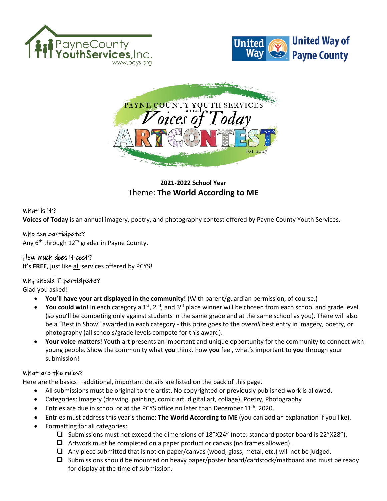





# **2021-2022 School Year**  Theme: **The World According to ME**

#### What is it?

**Voices of Today** is an annual imagery, poetry, and photography contest offered by Payne County Youth Services.

#### Who can participate?

Any 6<sup>th</sup> through 12<sup>th</sup> grader in Payne County.

### How much does it cost?

It's FREE, just like all services offered by PCYS!

#### Why should  $I$  participate?

Glad you asked!

- **You'll have your art displayed in the community!** (With parent/guardian permission, of course.)
- You could win! In each category a 1<sup>st</sup>, 2<sup>nd</sup>, and 3<sup>rd</sup> place winner will be chosen from each school and grade level (so you'll be competing only against students in the same grade and at the same school as you). There will also be a "Best in Show" awarded in each category - this prize goes to the *overall* best entry in imagery, poetry, or photography (all schools/grade levels compete for this award).
- **Your voice matters!** Youth art presents an important and unique opportunity for the community to connect with young people. Show the community what **you** think, how **you** feel, what's important to **you** through your submission!

#### What are the rules?

Here are the basics – additional, important details are listed on the back of this page.

- All submissions must be original to the artist. No copyrighted or previously published work is allowed.
- Categories: Imagery (drawing, painting, comic art, digital art, collage), Poetry, Photography
- Entries are due in school or at the PCYS office no later than December 11<sup>th</sup>, 2020.
- Entries must address this year's theme: **The World According to ME** (you can add an explanation if you like).
- Formatting for all categories:
	- $\Box$  Submissions must not exceed the dimensions of 18"X24" (note: standard poster board is 22"X28").
	- $\Box$  Artwork must be completed on a paper product or canvas (no frames allowed).
	- $\Box$  Any piece submitted that is not on paper/canvas (wood, glass, metal, etc.) will not be judged.
	- $\Box$  Submissions should be mounted on heavy paper/poster board/cardstock/matboard and must be ready for display at the time of submission.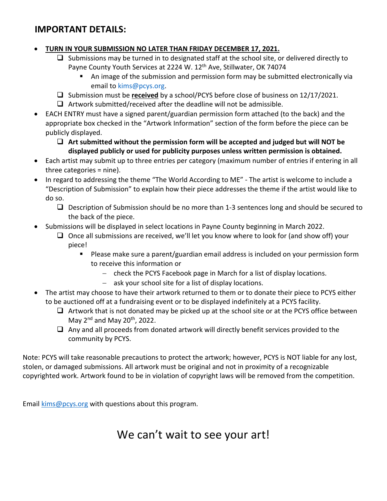# **IMPORTANT DETAILS:**

## • **TURN IN YOUR SUBMISSION NO LATER THAN FRIDAY DECEMBER 17, 2021.**

- $\Box$  Submissions may be turned in to designated staff at the school site, or delivered directly to Payne County Youth Services at 2224 W. 12<sup>th</sup> Ave, Stillwater, OK 74074
	- An image of the submission and permission form may be submitted electronically via email to [kims@pcys.org.](mailto:kims@pcys.org)
- Submission must be **received** by a school/PCYS before close of business on 12/17/2021.
- $\Box$  Artwork submitted/received after the deadline will not be admissible.
- EACH ENTRY must have a signed parent/guardian permission form attached (to the back) and the appropriate box checked in the "Artwork Information" section of the form before the piece can be publicly displayed.
	- **Art submitted without the permission form will be accepted and judged but will NOT be displayed publicly or used for publicity purposes unless written permission is obtained.**
- Each artist may submit up to three entries per category (maximum number of entries if entering in all three categories = nine).
- In regard to addressing the theme "The World According to ME" The artist is welcome to include a "Description of Submission" to explain how their piece addresses the theme if the artist would like to do so.
	- $\Box$  Description of Submission should be no more than 1-3 sentences long and should be secured to the back of the piece.
- Submissions will be displayed in select locations in Payne County beginning in March 2022.
	- $\Box$  Once all submissions are received, we'll let you know where to look for (and show off) your piece!
		- Please make sure a parent/guardian email address is included on your permission form to receive this information or
			- − check the PCYS Facebook page in March for a list of display locations.
			- − ask your school site for a list of display locations.
- The artist may choose to have their artwork returned to them or to donate their piece to PCYS either to be auctioned off at a fundraising event or to be displayed indefinitely at a PCYS facility.
	- $\Box$  Artwork that is not donated may be picked up at the school site or at the PCYS office between May  $2^{nd}$  and May  $20^{th}$ , 2022.
	- $\Box$  Any and all proceeds from donated artwork will directly benefit services provided to the community by PCYS.

Note: PCYS will take reasonable precautions to protect the artwork; however, PCYS is NOT liable for any lost, stolen, or damaged submissions. All artwork must be original and not in proximity of a recognizable copyrighted work. Artwork found to be in violation of copyright laws will be removed from the competition.

Email [kims@pcys.org](mailto:kims@pcys.org) with questions about this program.

# We can't wait to see your art!